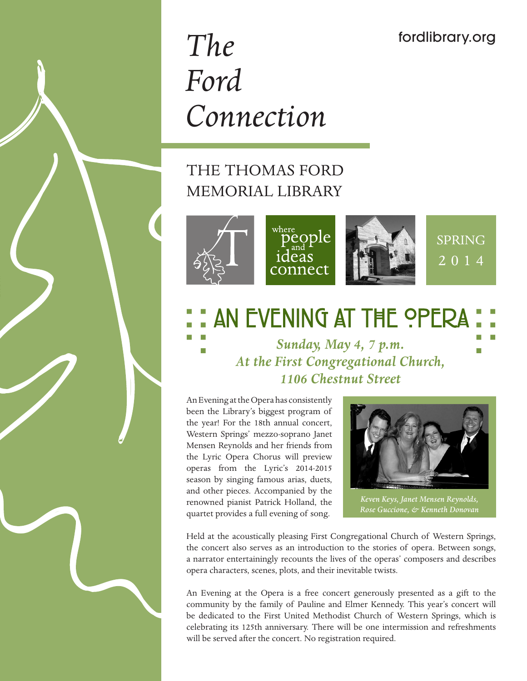# *The Ford Connection*

# THE THOMAS FORD MEMORIAL LIBRARY



# **: AN EVENING AT THE OPERA**

*Sunday, May 4, 7 p.m. At the First Congregational Church, 1106 Chestnut Street*

An Evening at the Opera has consistently been the Library's biggest program of the year! For the 18th annual concert, Western Springs' mezzo-soprano Janet Mensen Reynolds and her friends from the Lyric Opera Chorus will preview operas from the Lyric's 2014-2015 season by singing famous arias, duets, and other pieces. Accompanied by the renowned pianist Patrick Holland, the quartet provides a full evening of song.



*Keven Keys, Janet Mensen Reynolds, Rose Guccione, & Kenneth Donovan*

Held at the acoustically pleasing First Congregational Church of Western Springs, the concert also serves as an introduction to the stories of opera. Between songs, a narrator entertainingly recounts the lives of the operas' composers and describes opera characters, scenes, plots, and their inevitable twists.

An Evening at the Opera is a free concert generously presented as a gift to the community by the family of Pauline and Elmer Kennedy. This year's concert will be dedicated to the First United Methodist Church of Western Springs, which is celebrating its 125th anniversary. There will be one intermission and refreshments will be served after the concert. No registration required.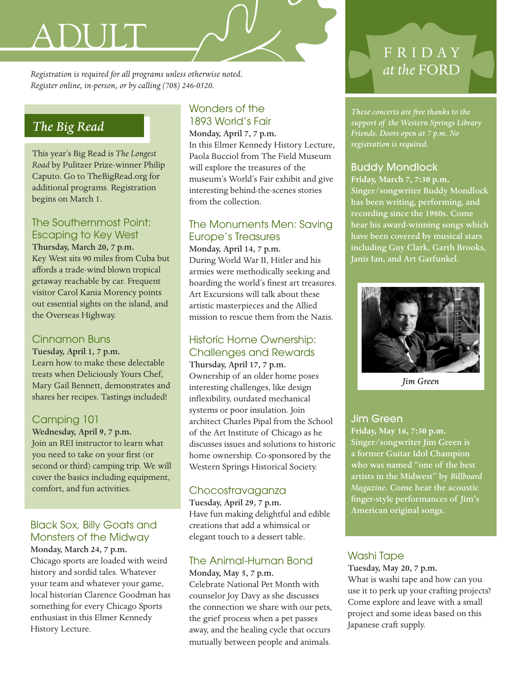# ADUIT

*Registration is required for all programs unless otherwise noted. at the* FORD *Register online, in-person, or by calling (708) 246-0520.*

# *The Big Read*

This year's Big Read is *The Longest Road* by Pulitzer Prize-winner Philip Caputo. Go to TheBigRead.org for additional programs. Registration begins on March 1.

# The Southernmost Point: Escaping to Key West

Thursday, March 20, 7 p.m. Key West sits 90 miles from Cuba but affords a trade-wind blown tropical getaway reachable by car. Frequent visitor Carol Kania Morency points out essential sights on the island, and the Overseas Highway.

# Cinnamon Buns

Tuesday, April 1, 7 p.m. Learn how to make these delectable treats when Deliciously Yours Chef, Mary Gail Bennett, demonstrates and shares her recipes. Tastings included!

# Camping 101

Wednesday, April 9, 7 p.m. Join an REI instructor to learn what you need to take on your first (or second or third) camping trip. We will cover the basics including equipment, comfort, and fun activities.

# Black Sox, Billy Goats and Monsters of the Midway

Monday, March 24, 7 p.m. Chicago sports are loaded with weird history and sordid tales. Whatever your team and whatever your game, local historian Clarence Goodman has something for every Chicago Sports enthusiast in this Elmer Kennedy History Lecture.

# Wonders of the 1893 World's Fair

Monday, April 7, 7 p.m. In this Elmer Kennedy History Lecture, Paola Bucciol from The Field Museum will explore the treasures of the museum's World's Fair exhibit and give interesting behind-the-scenes stories from the collection.

# The Monuments Men: Saving Europe's Treasures

Monday, April 14, 7 p.m. During World War II, Hitler and his armies were methodically seeking and hoarding the world's finest art treasures. Art Excursions will talk about these artistic masterpieces and the Allied mission to rescue them from the Nazis.

# Historic Home Ownership: Challenges and Rewards

Thursday, April 17, 7 p.m. Ownership of an older home poses interesting challenges, like design inflexibility, outdated mechanical systems or poor insulation. Join architect Charles Pipal from the School of the Art Institute of Chicago as he discusses issues and solutions to historic home ownership. Co-sponsored by the Western Springs Historical Society.

# Chocostravaganza

Tuesday, April 29, 7 p.m. Have fun making delightful and edible creations that add a whimsical or elegant touch to a dessert table.

# The Animal-Human Bond

Monday, May 5, 7 p.m. Celebrate National Pet Month with counselor Joy Davy as she discusses the connection we share with our pets, the grief process when a pet passes away, and the healing cycle that occurs mutually between people and animals.

# F R I D A Y

*These concerts are free thanks to the support of the Western Springs Library Friends. Doors open at 7 p.m. No registration is required.* 

# Buddy Mondlock

**Friday, March 7, 7:30 p.m.** Singer/songwriter Buddy Mondlock has been writing, performing, and recording since the 1980s. Come hear his award-winning songs which have been covered by musical stars including Guy Clark, Garth Brooks, Janis Ian, and Art Garfunkel.



*Jim Green*

# Jim Green

**Friday, May 16, 7:30 p.m.** Singer/songwriter Jim Green is a former Guitar Idol Champion who was named "one of the best artists in the Midwest" by *Billboard Magazine*. Come hear the acoustic finger-style performances of Jim's American original songs.

# Washi Tape

Tuesday, May 20, 7 p.m. What is washi tape and how can you use it to perk up your crafting projects? Come explore and leave with a small project and some ideas based on this Japanese craft supply.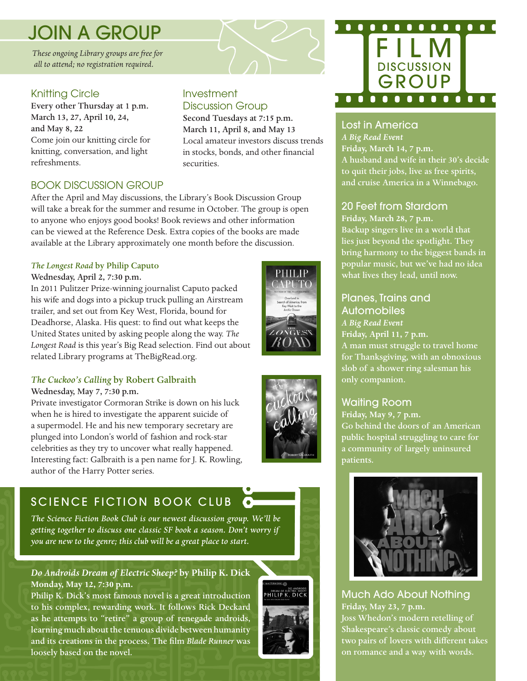# JOIN A GROUP

*These ongoing Library groups are free for all to attend; no registration required.*

# Knitting Circle

Every other Thursday at 1 p.m. March 13, 27, April 10, 24, and May 8, 22 Come join our knitting circle for knitting, conversation, and light refreshments.

## Investment Discussion Group

Second Tuesdays at 7:15 p.m. March 11, April 8, and May 13 Local amateur investors discuss trends in stocks, bonds, and other financial securities.

# BOOK DISCUSSION GROUP

After the April and May discussions, the Library's Book Discussion Group will take a break for the summer and resume in October. The group is open to anyone who enjoys good books! Book reviews and other information can be viewed at the Reference Desk. Extra copies of the books are made available at the Library approximately one month before the discussion.

#### *The Longest Road* by Philip Caputo

#### Wednesday, April 2, 7:30 p.m.

In 2011 Pulitzer Prize-winning journalist Caputo packed his wife and dogs into a pickup truck pulling an Airstream trailer, and set out from Key West, Florida, bound for Deadhorse, Alaska. His quest: to find out what keeps the United States united by asking people along the way. *The Longest Road* is this year's Big Read selection. Find out about related Library programs at TheBigRead.org.

### *The Cuckoo's Calling* by Robert Galbraith

#### Wednesday, May 7, 7:30 p.m.

Private investigator Cormoran Strike is down on his luck when he is hired to investigate the apparent suicide of a supermodel. He and his new temporary secretary are plunged into London's world of fashion and rock-star celebrities as they try to uncover what really happened. Interesting fact: Galbraith is a pen name for J. K. Rowling, author of the Harry Potter series.

# SCIENCE FICTION BOOK CLUB

*The Science Fiction Book Club is our newest discussion group. We'll be getting together to discuss one classic SF book a season. Don't worry if you are new to the genre; this club will be a great place to start.*

#### *Do Androids Dream of Electric Sheep?* **by Philip K. Dick Monday, May 12, 7:30 p.m.**

Philip K. Dick's most famous novel is a great introduction to his complex, rewarding work. It follows Rick Deckard as he attempts to "retire" a group of renegade androids, learning much about the tenuous divide between humanity and its creations in the process. The film *Blade Runner* was loosely based on the novel*.*





### Lost in America

*A Big Read Event* **Friday, March 14, 7 p.m.** A husband and wife in their 30's decide to quit their jobs, live as free spirits, and cruise America in a Winnebago.

# 20 Feet from Stardom

**Friday, March 28, 7 p.m.** Backup singers live in a world that lies just beyond the spotlight. They bring harmony to the biggest bands in popular music, but we've had no idea what lives they lead, until now.

# Planes, Trains and

Automobiles *A Big Read Event* **Friday, April 11, 7 p.m.** A man must struggle to travel home for Thanksgiving, with an obnoxious slob of a shower ring salesman his only companion.

# Waiting Room

**Friday, May 9, 7 p.m.** Go behind the doors of an American public hospital struggling to care for a community of largely uninsured patients.



Much Ado About Nothing **Friday, May 23, 7 p.m.** Joss Whedon's modern retelling of Shakespeare's classic comedy about two pairs of lovers with different takes on romance and a way with words.



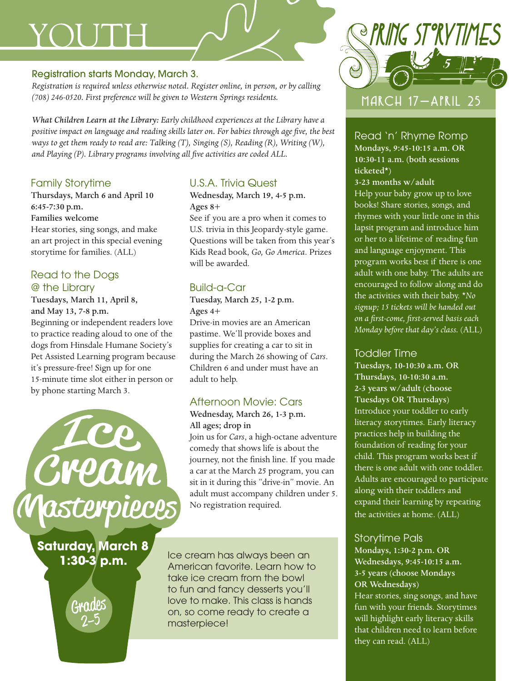# YOUTH

#### Registration starts Monday, March 3.

*Registration is required unless otherwise noted. Register online, in person, or by calling (708) 246-0520. First preference will be given to Western Springs residents.*

*What Children Learn at the Library: Early childhood experiences at the Library have a positive impact on language and reading skills later on. For babies through age five, the best ways to get them ready to read are: Talking (T), Singing (S), Reading (R), Writing (W), and Playing (P). Library programs involving all five activities are coded ALL.*

# Family Storytime

Thursdays, March 6 and April 10 6:45-7:30 p.m. Families welcome Hear stories, sing songs, and make

an art project in this special evening storytime for families. (ALL)

# Read to the Dogs @ the Library

Tuesdays, March 11, April 8, and May 13, 7-8 p.m.

Beginning or independent readers love to practice reading aloud to one of the dogs from Hinsdale Humane Society's Pet Assisted Learning program because it's pressure-free! Sign up for one 15-minute time slot either in person or by phone starting March 3.



**Saturday, March 8**

GIYAAlEE

# U.S.A. Trivia Quest

Wednesday, March 19, 4-5 p.m. Ages 8+

See if you are a pro when it comes to U.S. trivia in this Jeopardy-style game. Questions will be taken from this year's Kids Read book, *Go, Go America*. Prizes will be awarded.

# Build-a-Car

Tuesday, March 25, 1-2 p.m. Ages 4+

Drive-in movies are an American pastime. We'll provide boxes and supplies for creating a car to sit in during the March 26 showing of *Cars*. Children 6 and under must have an adult to help.

# Afternoon Movie: Cars

#### Wednesday, March 26, 1-3 p.m. All ages; drop in

Join us for *Cars*, a high-octane adventure comedy that shows life is about the journey, not the finish line. If you made a car at the March 25 program, you can sit in it during this "drive-in" movie. An adult must accompany children under 5. No registration required.

**1:30-3 p.m.** Ice cream has always been an American favorite. Learn how to take ice cream from the bowl to fun and fancy desserts you'll love to make. This class is hands on, so come ready to create a masterpiece!



## Read 'n' Rhyme Romp Mondays, 9:45-10:15 a.m. OR 10:30-11 a.m. (both sessions

ticketed\*)

3-23 months w/adult Help your baby grow up to love books! Share stories, songs, and rhymes with your little one in this lapsit program and introduce him or her to a lifetime of reading fun and language enjoyment. This program works best if there is one adult with one baby. The adults are encouraged to follow along and do the activities with their baby. \**No signup; 15 tickets will be handed out on a first-come, first-served basis each Monday before that day's class.* (ALL)

# Toddler Time

Tuesdays, 10-10:30 a.m. OR Thursdays, 10-10:30 a.m. 2-3 years w/adult (choose Tuesdays OR Thursdays) Introduce your toddler to early literacy storytimes. Early literacy practices help in building the foundation of reading for your child. This program works best if there is one adult with one toddler. Adults are encouraged to participate along with their toddlers and expand their learning by repeating the activities at home. (ALL)

# Storytime Pals

Mondays, 1:30-2 p.m. OR Wednesdays, 9:45-10:15 a.m. 3-5 years (choose Mondays OR Wednesdays) Hear stories, sing songs, and have fun with your friends. Storytimes will highlight early literacy skills that children need to learn before they can read. (ALL)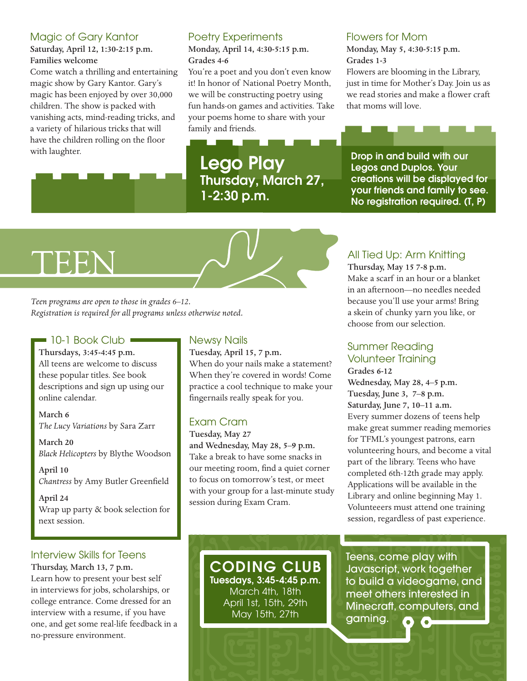### Magic of Gary Kantor

Saturday, April 12, 1:30-2:15 p.m. Families welcome

Come watch a thrilling and entertaining magic show by Gary Kantor. Gary's magic has been enjoyed by over 30,000 children. The show is packed with vanishing acts, mind-reading tricks, and a variety of hilarious tricks that will have the children rolling on the floor with laughter.

# Poetry Experiments

#### Monday, April 14, 4:30-5:15 p.m. Grades 4-6

You're a poet and you don't even know it! In honor of National Poetry Month, we will be constructing poetry using fun hands-on games and activities. Take your poems home to share with your family and friends.

# Lego Play Thursday, March 27, 1-2:30 p.m.

#### Flowers for Mom

Monday, May 5, 4:30-5:15 p.m. Grades 1-3

Flowers are blooming in the Library, just in time for Mother's Day. Join us as we read stories and make a flower craft that moms will love.

Drop in and build with our Legos and Duplos. Your creations will be displayed for your friends and family to see. No registration required. (T, P)

# TEEN

*Teen programs are open to those in grades 6–12. Registration is required for all programs unless otherwise noted.*

# 10-1 Book Club

Thursdays, 3:45-4:45 p.m. All teens are welcome to discuss these popular titles. See book descriptions and sign up using our online calendar.

March 6 *The Lucy Variations* by Sara Zarr

March 20 *Black Helicopters* by Blythe Woodson

April 10 *Chantress* by Amy Butler Greenfield

April 24 Wrap up party & book selection for next session.

# Interview Skills for Teens

Thursday, March 13, 7 p.m. Learn how to present your best self in interviews for jobs, scholarships, or college entrance. Come dressed for an interview with a resume, if you have one, and get some real-life feedback in a no-pressure environment.

# Newsy Nails

Tuesday, April 15, 7 p.m.

When do your nails make a statement? When they're covered in words! Come practice a cool technique to make your fingernails really speak for you.

# Exam Cram

Tuesday, May 27 and Wednesday, May 28, 5–9 p.m. Take a break to have some snacks in our meeting room, find a quiet corner to focus on tomorrow's test, or meet with your group for a last-minute study session during Exam Cram.

# All Tied Up: Arm Knitting

Thursday, May 15 7-8 p.m. Make a scarf in an hour or a blanket in an afternoon—no needles needed because you'll use your arms! Bring a skein of chunky yarn you like, or choose from our selection.

# Summer Reading Volunteer Training

Grades 6-12 Wednesday, May 28, 4–5 p.m. Tuesday, June 3, 7–8 p.m. Saturday, June 7, 10–11 a.m. Every summer dozens of teens help make great summer reading memories for TFML's youngest patrons, earn volunteering hours, and become a vital part of the library. Teens who have completed 6th-12th grade may apply. Applications will be available in the Library and online beginning May 1. Volunteeers must attend one training session, regardless of past experience.

CODING CLUB Tuesdays, 3:45-4:45 p.m. March 4th, 18th April 1st, 15th, 29th May 15th, 27th

Teens, come play with Javascript, work together to build a videogame, and meet others interested in Minecraft, computers, and gaming.  $\bullet$ G